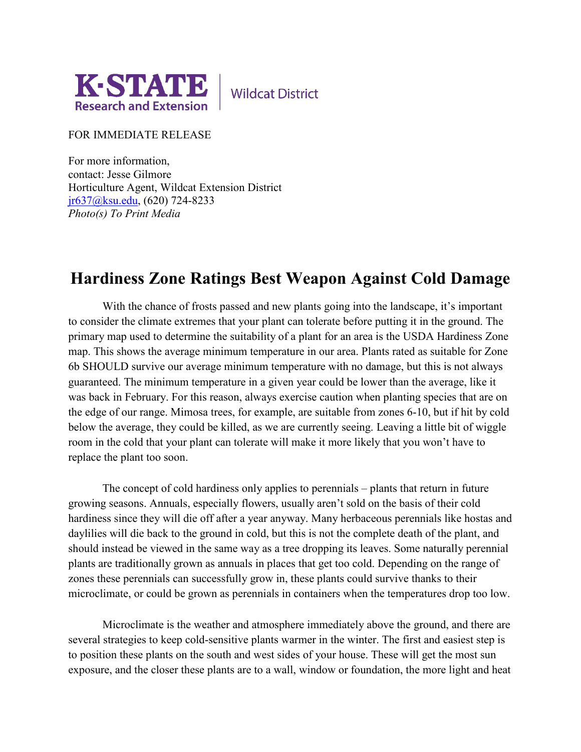

**Wildcat District** 

FOR IMMEDIATE RELEASE

For more information, contact: Jesse Gilmore Horticulture Agent, Wildcat Extension District [jr637@ksu.edu,](mailto:jr637@ksu.edu) (620) 724-8233 *Photo(s) To Print Media*

## **Hardiness Zone Ratings Best Weapon Against Cold Damage**

With the chance of frosts passed and new plants going into the landscape, it's important to consider the climate extremes that your plant can tolerate before putting it in the ground. The primary map used to determine the suitability of a plant for an area is the USDA Hardiness Zone map. This shows the average minimum temperature in our area. Plants rated as suitable for Zone 6b SHOULD survive our average minimum temperature with no damage, but this is not always guaranteed. The minimum temperature in a given year could be lower than the average, like it was back in February. For this reason, always exercise caution when planting species that are on the edge of our range. Mimosa trees, for example, are suitable from zones 6-10, but if hit by cold below the average, they could be killed, as we are currently seeing. Leaving a little bit of wiggle room in the cold that your plant can tolerate will make it more likely that you won't have to replace the plant too soon.

The concept of cold hardiness only applies to perennials – plants that return in future growing seasons. Annuals, especially flowers, usually aren't sold on the basis of their cold hardiness since they will die off after a year anyway. Many herbaceous perennials like hostas and daylilies will die back to the ground in cold, but this is not the complete death of the plant, and should instead be viewed in the same way as a tree dropping its leaves. Some naturally perennial plants are traditionally grown as annuals in places that get too cold. Depending on the range of zones these perennials can successfully grow in, these plants could survive thanks to their microclimate, or could be grown as perennials in containers when the temperatures drop too low.

Microclimate is the weather and atmosphere immediately above the ground, and there are several strategies to keep cold-sensitive plants warmer in the winter. The first and easiest step is to position these plants on the south and west sides of your house. These will get the most sun exposure, and the closer these plants are to a wall, window or foundation, the more light and heat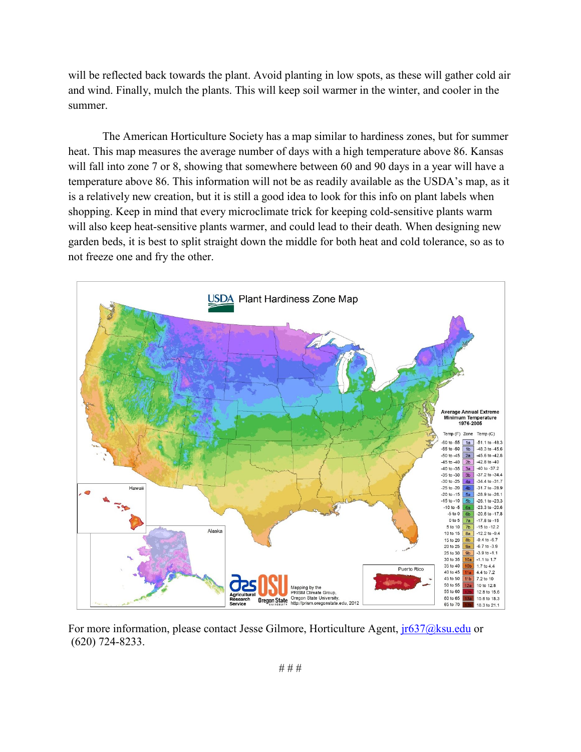will be reflected back towards the plant. Avoid planting in low spots, as these will gather cold air and wind. Finally, mulch the plants. This will keep soil warmer in the winter, and cooler in the summer.

The American Horticulture Society has a map similar to hardiness zones, but for summer heat. This map measures the average number of days with a high temperature above 86. Kansas will fall into zone 7 or 8, showing that somewhere between 60 and 90 days in a year will have a temperature above 86. This information will not be as readily available as the USDA's map, as it is a relatively new creation, but it is still a good idea to look for this info on plant labels when shopping. Keep in mind that every microclimate trick for keeping cold-sensitive plants warm will also keep heat-sensitive plants warmer, and could lead to their death. When designing new garden beds, it is best to split straight down the middle for both heat and cold tolerance, so as to not freeze one and fry the other.



For more information, please contact Jesse Gilmore, Horticulture Agent,  $ir637@ksu.edu$  or (620) 724-8233.